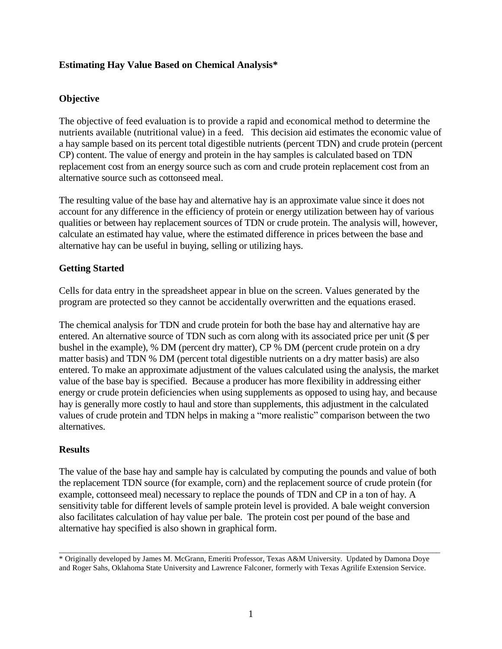# **Estimating Hay Value Based on Chemical Analysis\***

# **Objective**

The objective of feed evaluation is to provide a rapid and economical method to determine the nutrients available (nutritional value) in a feed. This decision aid estimates the economic value of a hay sample based on its percent total digestible nutrients (percent TDN) and crude protein (percent CP) content. The value of energy and protein in the hay samples is calculated based on TDN replacement cost from an energy source such as corn and crude protein replacement cost from an alternative source such as cottonseed meal.

The resulting value of the base hay and alternative hay is an approximate value since it does not account for any difference in the efficiency of protein or energy utilization between hay of various qualities or between hay replacement sources of TDN or crude protein. The analysis will, however, calculate an estimated hay value, where the estimated difference in prices between the base and alternative hay can be useful in buying, selling or utilizing hays.

# **Getting Started**

Cells for data entry in the spreadsheet appear in blue on the screen. Values generated by the program are protected so they cannot be accidentally overwritten and the equations erased.

The chemical analysis for TDN and crude protein for both the base hay and alternative hay are entered. An alternative source of TDN such as corn along with its associated price per unit (\$ per bushel in the example), % DM (percent dry matter), CP % DM (percent crude protein on a dry matter basis) and TDN % DM (percent total digestible nutrients on a dry matter basis) are also entered. To make an approximate adjustment of the values calculated using the analysis, the market value of the base bay is specified. Because a producer has more flexibility in addressing either energy or crude protein deficiencies when using supplements as opposed to using hay, and because hay is generally more costly to haul and store than supplements, this adjustment in the calculated values of crude protein and TDN helps in making a "more realistic" comparison between the two alternatives.

## **Results**

The value of the base hay and sample hay is calculated by computing the pounds and value of both the replacement TDN source (for example, corn) and the replacement source of crude protein (for example, cottonseed meal) necessary to replace the pounds of TDN and CP in a ton of hay. A sensitivity table for different levels of sample protein level is provided. A bale weight conversion also facilitates calculation of hay value per bale. The protein cost per pound of the base and alternative hay specified is also shown in graphical form.

\_\_\_\_\_\_\_\_\_\_\_\_\_\_\_\_\_\_\_\_\_\_\_\_\_\_\_\_\_\_\_\_\_\_\_\_\_\_\_\_\_\_\_\_\_\_\_\_\_\_\_\_\_\_\_\_\_\_\_\_\_\_\_\_\_\_\_\_\_\_\_\_\_\_\_\_\_\_\_\_\_\_\_\_\_\_\_\_\_\_\_\_\_\_\_\_\_\_ \* Originally developed by James M. McGrann, Emeriti Professor, Texas A&M University. Updated by Damona Doye and Roger Sahs, Oklahoma State University and Lawrence Falconer, formerly with Texas Agrilife Extension Service.